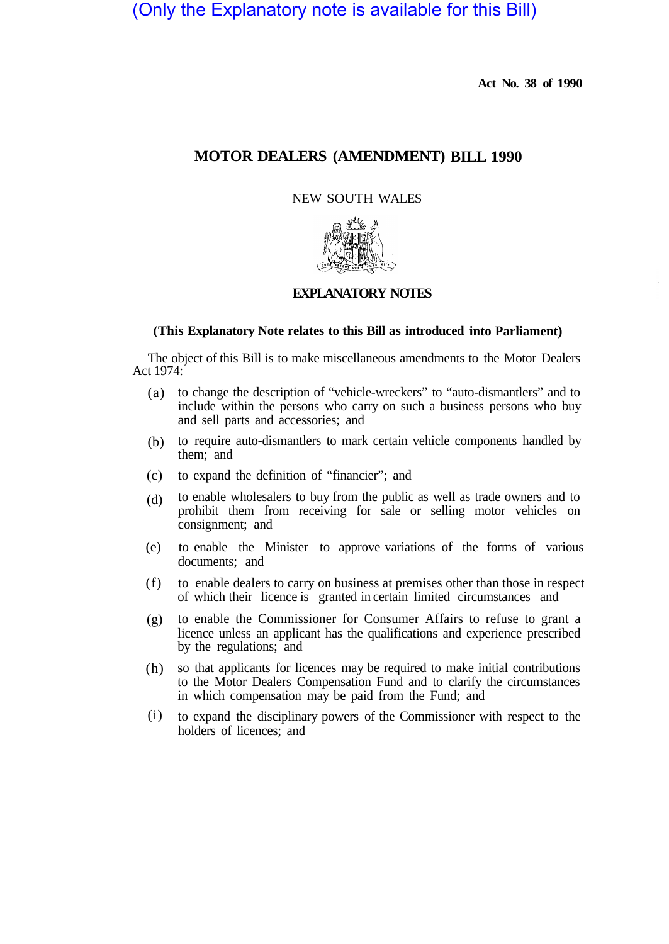# (Only the Explanatory note is available for this Bill)

**Act No. 38 of 1990** 

# **MOTOR DEALERS (AMENDMENT) BILL 1990**

NEW SOUTH WALES



# **EXPLANATORY NOTES**

## **(This Explanatory Note relates to this Bill as introduced into Parliament)**

The object of this Bill is to make miscellaneous amendments to the Motor Dealers Act 1974:

- to change the description of "vehicle-wreckers" to "auto-dismantlers" and to (a) include within the persons who carry on such a business persons who buy and sell parts and accessories; and
- (b) to require auto-dismantlers to mark certain vehicle components handled by them; and
- to expand the definition of "financier"; and (c)
- to enable wholesalers to buy from the public as well as trade owners and to prohibit them from receiving for sale or selling motor vehicles on consignment; and (d)
- to enable the Minister to approve variations of the forms of various documents; and (e)
- to enable dealers to carry on business at premises other than those in respect of which their licence is granted in certain limited circumstances and (f)
- to enable the Commissioner for Consumer Affairs to refuse to grant a licence unless an applicant has the qualifications and experience prescribed by the regulations; and  $(g)$
- so that applicants for licences may be required to make initial contributions to the Motor Dealers Compensation Fund and to clarify the circumstances in which compensation may be paid from the Fund; and (h)
- to expand the disciplinary powers of the Commissioner with respect to the holders of licences; and (i)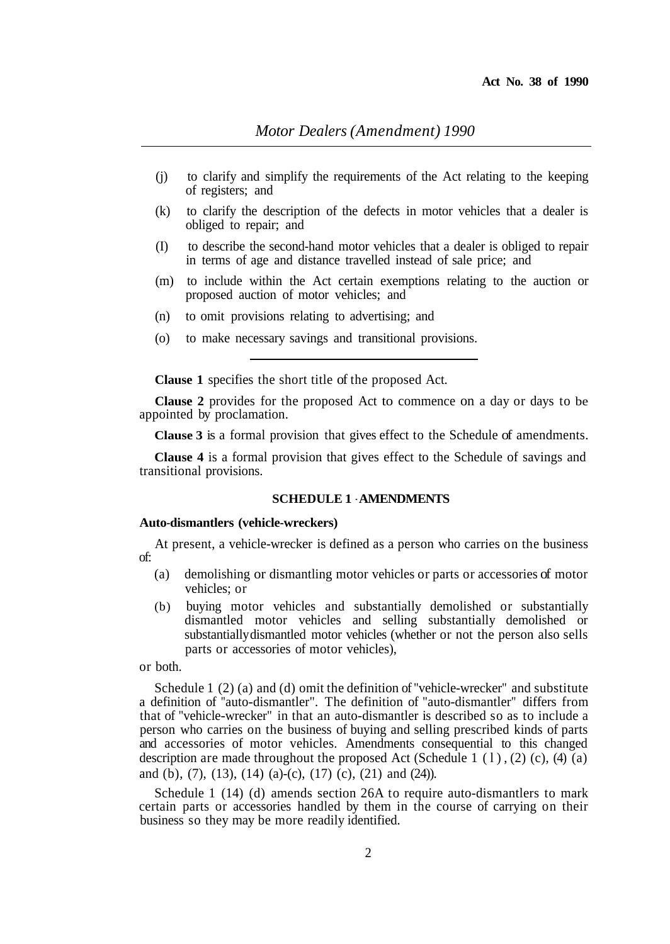- (j) to clarify and simplify the requirements of the Act relating to the keeping of registers; and
- (k) to clarify the description of the defects in motor vehicles that a dealer is obliged to repair; and
- (I) to describe the second-hand motor vehicles that a dealer is obliged to repair in terms of age and distance travelled instead of sale price; and
- (m) to include within the Act certain exemptions relating to the auction or proposed auction of motor vehicles; and
- (n) to omit provisions relating to advertising; and
- (o) to make necessary savings and transitional provisions.

**Clause 1** specifies the short title of the proposed Act.

**Clause 2** provides for the proposed Act to commence on a day or days to be appointed by proclamation.

**Clause 3** is a formal provision that gives effect to the Schedule of amendments.

**Clause 4** is a formal provision that gives effect to the Schedule of savings and transitional provisions.

### **SCHEDULE 1** - **AMENDMENTS**

#### **Auto-dismantlers (vehicle-wreckers)**

At present, a vehicle-wrecker is defined as a person who carries on the business of:

- (a) demolishing or dismantling motor vehicles or parts or accessories of motor vehicles; or
- (b) buying motor vehicles and substantially demolished or substantially dismantled motor vehicles and selling substantially demolished or substantially dismantled motor vehicles (whether or not the person also sells parts or accessories of motor vehicles),

or both.

Schedule 1 (2) (a) and (d) omit the definition of "vehicle-wrecker" and substitute a definition of "auto-dismantler". The definition of "auto-dismantler" differs from that of "vehicle-wrecker" in that an auto-dismantler is described so as to include a person who carries on the business of buying and selling prescribed kinds of parts and accessories of motor vehicles. Amendments consequential to this changed description are made throughout the proposed Act (Schedule 1  $(1)$ ,  $(2)$   $(c)$ ,  $(4)$   $(a)$ and (b), (7), (13), (14) (a)-(c), (17) (c), (21) and (24)).

Schedule 1 (14) (d) amends section 26A to require auto-dismantlers to mark certain parts or accessories handled by them in the course of carrying on their business so they may be more readily identified.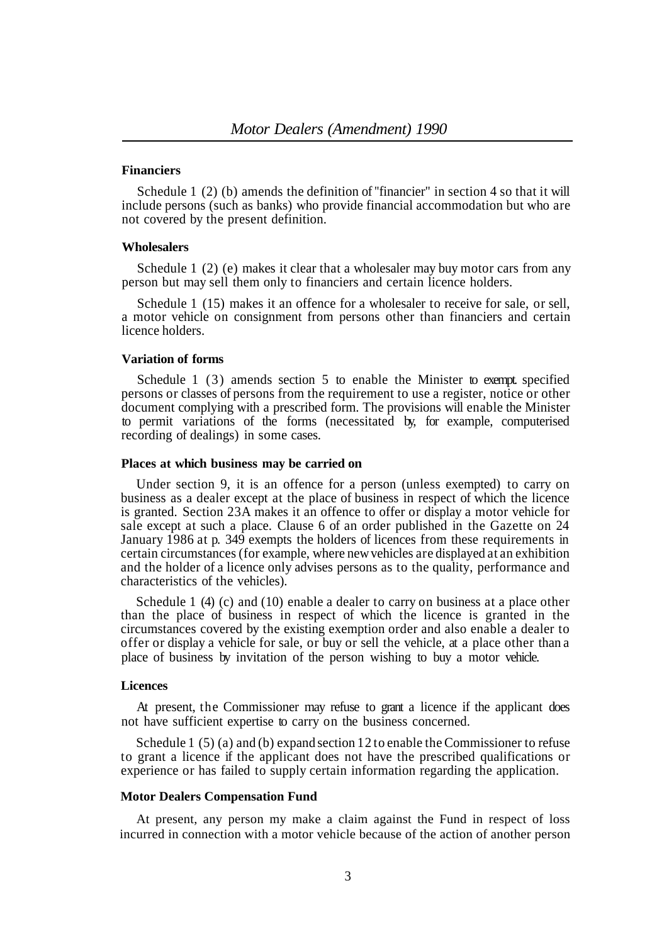#### **Financiers**

Schedule 1 (2) (b) amends the definition of "financier" in section 4 so that it will include persons (such as banks) who provide financial accommodation but who are not covered by the present definition.

#### **Wholesalers**

Schedule 1 (2) (e) makes it clear that a wholesaler may buy motor cars from any person but may sell them only to financiers and certain licence holders.

Schedule 1 (15) makes it an offence for a wholesaler to receive for sale, or sell, a motor vehicle on consignment from persons other than financiers and certain licence holders.

#### **Variation of forms**

Schedule 1 (3) amends section 5 to enable the Minister to exempt specified persons or classes of persons from the requirement to use a register, notice or other document complying with a prescribed form. The provisions will enable the Minister to permit variations of the forms (necessitated by, for example, computerised recording of dealings) in some cases.

#### **Places at which business may be carried on**

Under section 9, it is an offence for a person (unless exempted) to carry on business as a dealer except at the place of business in respect of which the licence is granted. Section 23A makes it an offence to offer or display a motor vehicle for sale except at such a place. Clause 6 of an order published in the Gazette on 24 January 1986 at p. 349 exempts the holders of licences from these requirements in certain circumstances (for example, where new vehicles are displayed at an exhibition and the holder of a licence only advises persons as to the quality, performance and characteristics of the vehicles).

Schedule 1 (4) (c) and (10) enable a dealer to carry on business at a place other than the place of business in respect of which the licence is granted in the circumstances covered by the existing exemption order and also enable a dealer to offer or display a vehicle for sale, or buy or sell the vehicle, at a place other than a place of business by invitation of the person wishing to buy a motor vehicle.

#### **Licences**

At present, the Commissioner may refuse to grant a licence if the applicant does not have sufficient expertise to carry on the business concerned.

Schedule 1 (5) (a) and (b) expand section 12 to enable the Commissioner to refuse to grant a licence if the applicant does not have the prescribed qualifications or experience or has failed to supply certain information regarding the application.

#### **Motor Dealers Compensation Fund**

At present, any person my make a claim against the Fund in respect of loss incurred in connection with a motor vehicle because of the action of another person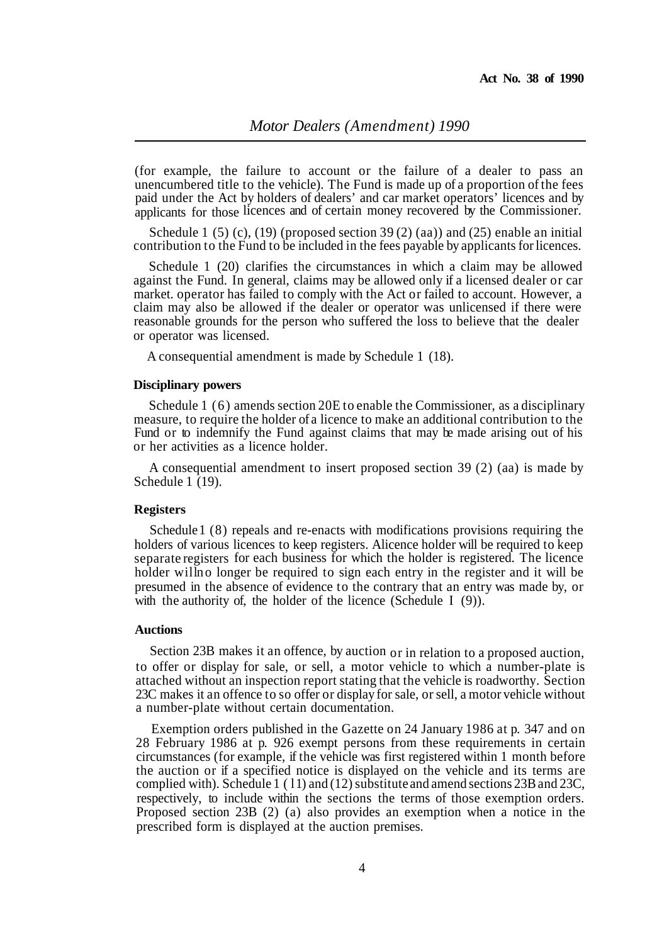(for example, the failure to account or the failure of a dealer to pass an unencumbered title to the vehicle). The Fund is made up of a proportion of the fees paid under the Act by holders of dealers' and car market operators' licences and by applicants for those licences and of certain money recovered by the Commissioner.

Schedule 1 (5) (c), (19) (proposed section 39(2) (aa)) and (25) enable an initial contribution to the Fund to be included in the fees payable by applicants for licences.

Schedule 1 (20) clarifies the circumstances in which a claim may be allowed against the Fund. In general, claims may be allowed only if a licensed dealer or car market. operator has failed to comply with the Act or failed to account. However, a reasonable grounds for the person who suffered the loss to believe that the dealer claim may also be allowed if the dealer or operator was unlicensed if there were or operator was licensed.

A consequential amendment is made by Schedule 1 (18).

#### **Disciplinary powers**

Schedule 1 (6) amends section 20E to enable the Commissioner, as a disciplinary measure, to require the holder of a licence to make an additional contribution to the Fund or to indemnify the Fund against claims that may be made arising out of his or her activities as a licence holder.

A consequential amendment to insert proposed section 39 (2) (aa) is made by Schedule  $1(19)$ .

#### **Registers**

Schedule 1 (8) repeals and re-enacts with modifications provisions requiring the holders of various licences to keep registers. Alicence holder will be required to keep separate registers for each business for which the holder is registered. The licence holder will no longer be required to sign each entry in the register and it will be presumed in the absence of evidence to the contrary that an entry was made by, or with the authority of, the holder of the licence (Schedule I (9)).

#### **Auctions**

Section 23B makes it an offence, by auction or in relation to a proposed auction, to offer or display for sale, or sell, a motor vehicle to which a number-plate is attached without an inspection report stating that the vehicle is roadworthy. Section 23C makes it an offence to so offer or display for sale, or sell, a motor vehicle without a number-plate without certain documentation.

Exemption orders published in the Gazette on 24 January 1986 at p. 347 and on 28 February 1986 at p. 926 exempt persons from these requirements in certain circumstances (for example, if the vehicle was first registered within 1 month before the auction or if a specified notice is displayed on the vehicle and its terms are complied with). Schedule 1 (11) and (12) substitute and amend sections 23B and 23C, respectively, to include within the sections the terms of those exemption orders. Proposed section 23B (2) (a) also provides an exemption when a notice in the prescribed form is displayed at the auction premises.